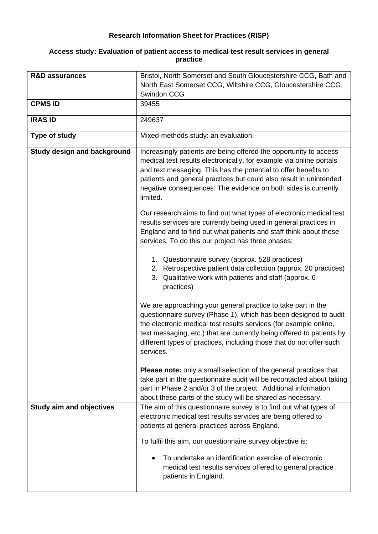## **Research Information Sheet for Practices (RISP)**

## **Access study: Evaluation of patient access to medical test result services in general practice**

| <b>R&amp;D assurances</b>          | Bristol, North Somerset and South Gloucestershire CCG, Bath and                                                                                                                                                                                                                                                                                                     |
|------------------------------------|---------------------------------------------------------------------------------------------------------------------------------------------------------------------------------------------------------------------------------------------------------------------------------------------------------------------------------------------------------------------|
|                                    | North East Somerset CCG, Wiltshire CCG, Gloucestershire CCG,                                                                                                                                                                                                                                                                                                        |
|                                    | Swindon CCG                                                                                                                                                                                                                                                                                                                                                         |
| <b>CPMS ID</b>                     | 39455                                                                                                                                                                                                                                                                                                                                                               |
| <b>IRAS ID</b>                     | 249637                                                                                                                                                                                                                                                                                                                                                              |
| Type of study                      | Mixed-methods study: an evaluation.                                                                                                                                                                                                                                                                                                                                 |
| <b>Study design and background</b> | Increasingly patients are being offered the opportunity to access<br>medical test results electronically, for example via online portals<br>and text messaging. This has the potential to offer benefits to<br>patients and general practices but could also result in unintended<br>negative consequences. The evidence on both sides is currently<br>limited.     |
|                                    | Our research aims to find out what types of electronic medical test<br>results services are currently being used in general practices in<br>England and to find out what patients and staff think about these<br>services. To do this our project has three phases:                                                                                                 |
|                                    | 1. Questionnaire survey (approx. 528 practices)<br>Retrospective patient data collection (approx. 20 practices)<br>2.<br>3. Qualitative work with patients and staff (approx. 6<br>practices)                                                                                                                                                                       |
|                                    | We are approaching your general practice to take part in the<br>questionnaire survey (Phase 1), which has been designed to audit<br>the electronic medical test results services (for example online,<br>text messaging, etc.) that are currently being offered to patients by<br>different types of practices, including those that do not offer such<br>services. |
|                                    | <b>Please note:</b> only a small selection of the general practices that<br>take part in the questionnaire audit will be recontacted about taking<br>part in Phase 2 and/or 3 of the project. Additional information<br>about these parts of the study will be shared as necessary.                                                                                 |
| <b>Study aim and objectives</b>    | The aim of this questionnaire survey is to find out what types of<br>electronic medical test results services are being offered to<br>patients at general practices across England.                                                                                                                                                                                 |
|                                    | To fulfil this aim, our questionnaire survey objective is:                                                                                                                                                                                                                                                                                                          |
|                                    | To undertake an identification exercise of electronic<br>medical test results services offered to general practice<br>patients in England.                                                                                                                                                                                                                          |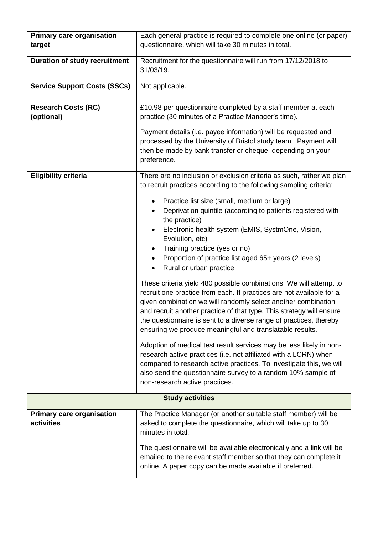| <b>Primary care organisation</b>               | Each general practice is required to complete one online (or paper)                                                                                                                                                                                                                                                                                                                                                                                                                                                                                                                                                                                                                                                                                                                                                                                                                                                                                                                                                                                                                                                                                                                                                            |
|------------------------------------------------|--------------------------------------------------------------------------------------------------------------------------------------------------------------------------------------------------------------------------------------------------------------------------------------------------------------------------------------------------------------------------------------------------------------------------------------------------------------------------------------------------------------------------------------------------------------------------------------------------------------------------------------------------------------------------------------------------------------------------------------------------------------------------------------------------------------------------------------------------------------------------------------------------------------------------------------------------------------------------------------------------------------------------------------------------------------------------------------------------------------------------------------------------------------------------------------------------------------------------------|
| target                                         | questionnaire, which will take 30 minutes in total.                                                                                                                                                                                                                                                                                                                                                                                                                                                                                                                                                                                                                                                                                                                                                                                                                                                                                                                                                                                                                                                                                                                                                                            |
| <b>Duration of study recruitment</b>           | Recruitment for the questionnaire will run from 17/12/2018 to<br>31/03/19.                                                                                                                                                                                                                                                                                                                                                                                                                                                                                                                                                                                                                                                                                                                                                                                                                                                                                                                                                                                                                                                                                                                                                     |
| <b>Service Support Costs (SSCs)</b>            | Not applicable.                                                                                                                                                                                                                                                                                                                                                                                                                                                                                                                                                                                                                                                                                                                                                                                                                                                                                                                                                                                                                                                                                                                                                                                                                |
| <b>Research Costs (RC)</b><br>(optional)       | £10.98 per questionnaire completed by a staff member at each<br>practice (30 minutes of a Practice Manager's time).<br>Payment details (i.e. payee information) will be requested and<br>processed by the University of Bristol study team. Payment will<br>then be made by bank transfer or cheque, depending on your<br>preference.                                                                                                                                                                                                                                                                                                                                                                                                                                                                                                                                                                                                                                                                                                                                                                                                                                                                                          |
| <b>Eligibility criteria</b>                    | There are no inclusion or exclusion criteria as such, rather we plan<br>to recruit practices according to the following sampling criteria:<br>Practice list size (small, medium or large)<br>Deprivation quintile (according to patients registered with<br>the practice)<br>Electronic health system (EMIS, SystmOne, Vision,<br>Evolution, etc)<br>Training practice (yes or no)<br>٠<br>Proportion of practice list aged 65+ years (2 levels)<br>٠<br>Rural or urban practice.<br>These criteria yield 480 possible combinations. We will attempt to<br>recruit one practice from each. If practices are not available for a<br>given combination we will randomly select another combination<br>and recruit another practice of that type. This strategy will ensure<br>the questionnaire is sent to a diverse range of practices, thereby<br>ensuring we produce meaningful and translatable results.<br>Adoption of medical test result services may be less likely in non-<br>research active practices (i.e. not affiliated with a LCRN) when<br>compared to research active practices. To investigate this, we will<br>also send the questionnaire survey to a random 10% sample of<br>non-research active practices. |
| <b>Study activities</b>                        |                                                                                                                                                                                                                                                                                                                                                                                                                                                                                                                                                                                                                                                                                                                                                                                                                                                                                                                                                                                                                                                                                                                                                                                                                                |
| <b>Primary care organisation</b><br>activities | The Practice Manager (or another suitable staff member) will be<br>asked to complete the questionnaire, which will take up to 30<br>minutes in total.                                                                                                                                                                                                                                                                                                                                                                                                                                                                                                                                                                                                                                                                                                                                                                                                                                                                                                                                                                                                                                                                          |
|                                                | The questionnaire will be available electronically and a link will be<br>emailed to the relevant staff member so that they can complete it<br>online. A paper copy can be made available if preferred.                                                                                                                                                                                                                                                                                                                                                                                                                                                                                                                                                                                                                                                                                                                                                                                                                                                                                                                                                                                                                         |